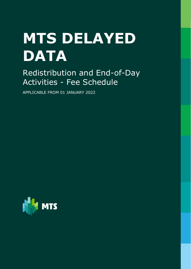# **MTS DELAYED DATA**

Redistribution and End-of-Day Activities - Fee Schedule

APPLICABLE FROM 01 JANUARY 2022

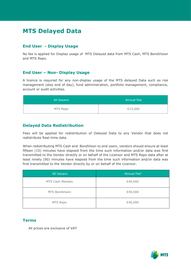# **MTS Delayed Data**

# **End User - Display Usage**

No fee is applied for Display usage of MTS Delayed data from MTS Cash, MTS BondVision and MTS Repo.

## **End User – Non- Display Usage**

A licence is required for any non-display usage of the MTS delayed Data such as risk management (also end of day), fund administration, portfolio management, compliance, account or audit activities.

| All Issuers | <b>Annual Fee</b> |
|-------------|-------------------|
| MTS Repo    | €15,000           |

# **Delayed Data Redistribution**

Fees will be applied for redistribution of Delayed Data to any Vendor that does not redistribute Real-time data.

When redistributing MTS Cash and BondVison to end users, vendors should ensure at least fifteen (15) minutes have elapsed from the time such information and/or data was first transmitted to the Vendor directly or on behalf of the Licensor and MTS Repo data after at least ninety (90) minutes have elapsed from the time such information and/or data was first transmitted to the Vendor directly by or on behalf of the Licensor.

| All Issuers           | Annual Fee <sup>1</sup> |
|-----------------------|-------------------------|
| MTS Cash Markets      | €40,000                 |
| <b>MTS BondVision</b> | €40,000                 |
| MTS Repo              | €40,000                 |

#### **Terms**

All prices are exclusive of VAT

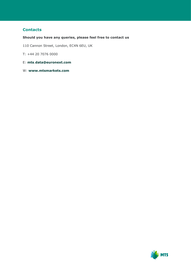### **Contacts**

#### **Should you have any queries, please feel free to contact us**

110 Cannon Street, London, EC4N 6EU, UK

T: +44 20 7076 0000

- E: **mts**.**[data@euronext.com](mailto:data@euronext.com)**
- W: **www.mtsmarkets.com**